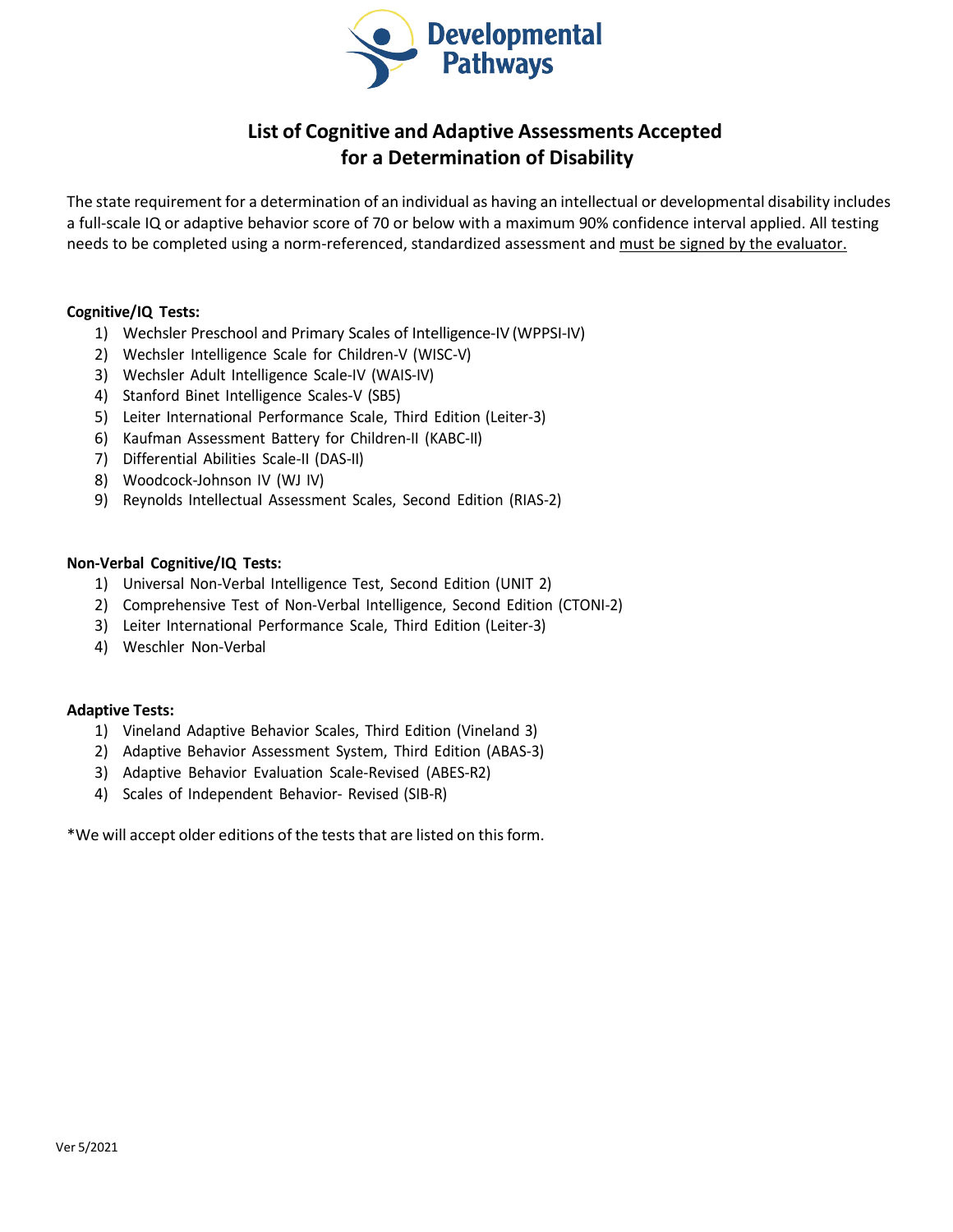

## **List of Cognitive and Adaptive Assessments Accepted for a Determination of Disability**

The state requirement for a determination of an individual as having an intellectual or developmental disability includes a full-scale IQ or adaptive behavior score of 70 or below with a maximum 90% confidence interval applied. All testing needs to be completed using a norm-referenced, standardized assessment and must be signed by the evaluator.

## **Cognitive/IQ Tests:**

- 1) Wechsler Preschool and Primary Scales of Intelligence-IV (WPPSI-IV)
- 2) Wechsler Intelligence Scale for Children-V (WISC-V)
- 3) Wechsler Adult Intelligence Scale-IV (WAIS-IV)
- 4) Stanford Binet Intelligence Scales-V (SB5)
- 5) Leiter International Performance Scale, Third Edition (Leiter-3)
- 6) Kaufman Assessment Battery for Children-II (KABC-II)
- 7) Differential Abilities Scale-II (DAS-II)
- 8) Woodcock-Johnson IV (WJ IV)
- 9) Reynolds Intellectual Assessment Scales, Second Edition (RIAS-2)

## **Non-Verbal Cognitive/IQ Tests:**

- 1) Universal Non-Verbal Intelligence Test, Second Edition (UNIT 2)
- 2) Comprehensive Test of Non-Verbal Intelligence, Second Edition (CTONI-2)
- 3) Leiter International Performance Scale, Third Edition (Leiter-3)
- 4) Weschler Non-Verbal

## **Adaptive Tests:**

- 1) Vineland Adaptive Behavior Scales, Third Edition (Vineland 3)
- 2) Adaptive Behavior Assessment System, Third Edition (ABAS-3)
- 3) Adaptive Behavior Evaluation Scale-Revised (ABES-R2)
- 4) Scales of Independent Behavior- Revised (SIB-R)

\*We will accept older editions of the teststhat are listed on thisform.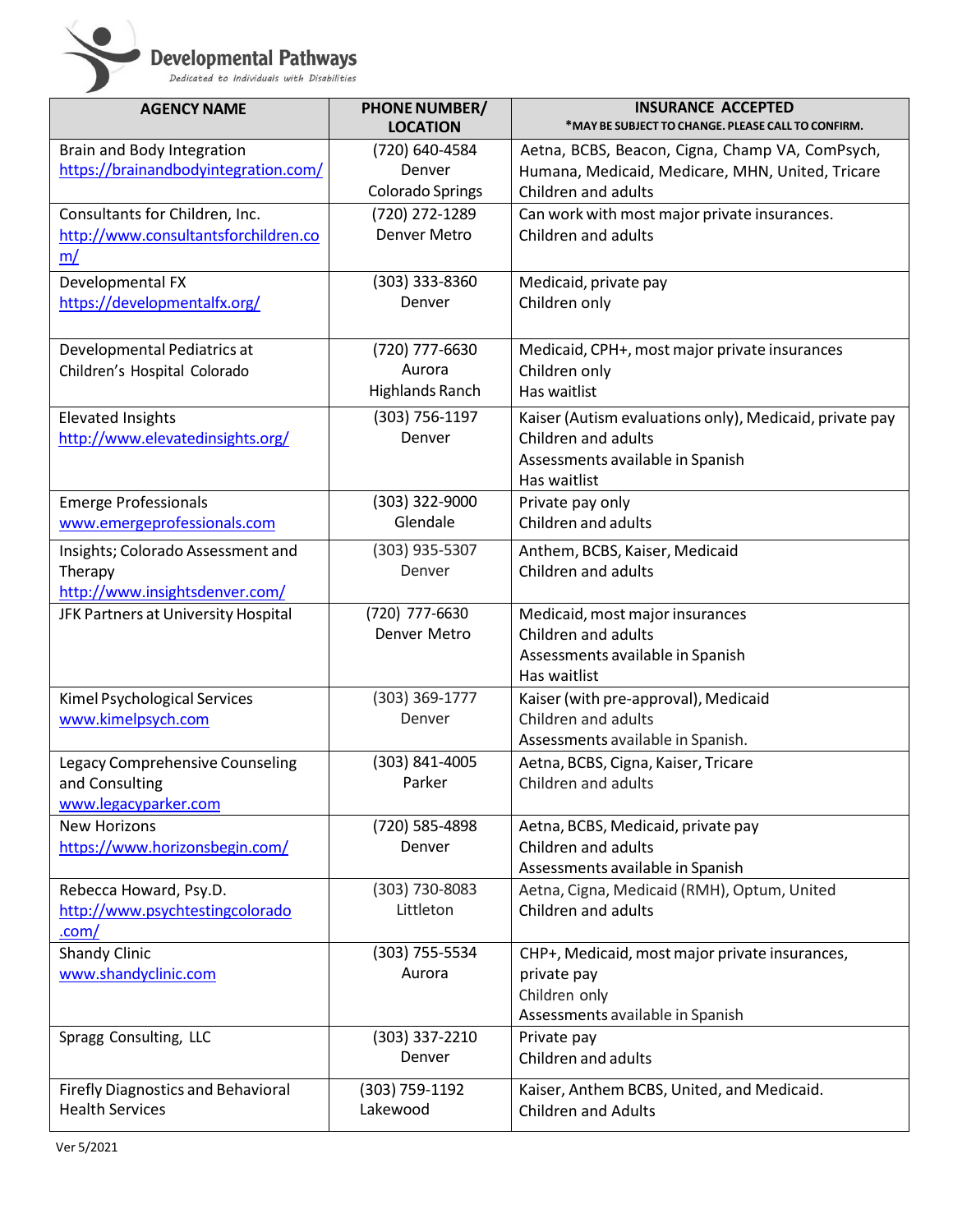**Developmental Pathways**<br>Dedicated to Individuals with Disabilities

| <b>AGENCY NAME</b>                        | <b>PHONE NUMBER/</b>     | <b>INSURANCE ACCEPTED</b>                               |
|-------------------------------------------|--------------------------|---------------------------------------------------------|
|                                           | <b>LOCATION</b>          | *MAY BE SUBJECT TO CHANGE. PLEASE CALL TO CONFIRM.      |
| Brain and Body Integration                | (720) 640-4584           | Aetna, BCBS, Beacon, Cigna, Champ VA, ComPsych,         |
| https://brainandbodyintegration.com/      | Denver                   | Humana, Medicaid, Medicare, MHN, United, Tricare        |
|                                           | <b>Colorado Springs</b>  | Children and adults                                     |
| Consultants for Children, Inc.            | (720) 272-1289           | Can work with most major private insurances.            |
| http://www.consultantsforchildren.co      | <b>Denver Metro</b>      | Children and adults                                     |
| m/                                        |                          |                                                         |
| Developmental FX                          | $(303)$ 333-8360         | Medicaid, private pay                                   |
| https://developmentalfx.org/              | Denver                   | Children only                                           |
|                                           |                          |                                                         |
| Developmental Pediatrics at               | (720) 777-6630           | Medicaid, CPH+, most major private insurances           |
| Children's Hospital Colorado              | Aurora                   | Children only                                           |
|                                           | <b>Highlands Ranch</b>   | Has waitlist                                            |
| <b>Elevated Insights</b>                  | (303) 756-1197           | Kaiser (Autism evaluations only), Medicaid, private pay |
| http://www.elevatedinsights.org/          | Denver                   | Children and adults                                     |
|                                           |                          | Assessments available in Spanish                        |
|                                           |                          | Has waitlist                                            |
| <b>Emerge Professionals</b>               | (303) 322-9000           | Private pay only                                        |
| www.emergeprofessionals.com               | Glendale                 | Children and adults                                     |
|                                           |                          |                                                         |
| Insights; Colorado Assessment and         | (303) 935-5307<br>Denver | Anthem, BCBS, Kaiser, Medicaid<br>Children and adults   |
| Therapy<br>http://www.insightsdenver.com/ |                          |                                                         |
| JFK Partners at University Hospital       | (720) 777-6630           | Medicaid, most major insurances                         |
|                                           | Denver Metro             | Children and adults                                     |
|                                           |                          | Assessments available in Spanish                        |
|                                           |                          | Has waitlist                                            |
| Kimel Psychological Services              | (303) 369-1777           | Kaiser (with pre-approval), Medicaid                    |
| www.kimelpsych.com                        | Denver                   | Children and adults                                     |
|                                           |                          | Assessments available in Spanish.                       |
| Legacy Comprehensive Counseling           | (303) 841-4005           | Aetna, BCBS, Cigna, Kaiser, Tricare                     |
| and Consulting                            | Parker                   | Children and adults                                     |
| www.legacyparker.com                      |                          |                                                         |
| <b>New Horizons</b>                       | (720) 585-4898           | Aetna, BCBS, Medicaid, private pay                      |
| https://www.horizonsbegin.com/            | Denver                   | Children and adults                                     |
|                                           |                          | Assessments available in Spanish                        |
| Rebecca Howard, Psy.D.                    | (303) 730-8083           | Aetna, Cigna, Medicaid (RMH), Optum, United             |
| http://www.psychtestingcolorado           | Littleton                | Children and adults                                     |
| .com/                                     |                          |                                                         |
| <b>Shandy Clinic</b>                      | (303) 755-5534           | CHP+, Medicaid, most major private insurances,          |
| www.shandyclinic.com                      | Aurora                   | private pay                                             |
|                                           |                          | Children only                                           |
|                                           |                          | Assessments available in Spanish                        |
| Spragg Consulting, LLC                    | (303) 337-2210           | Private pay                                             |
|                                           | Denver                   | Children and adults                                     |
| <b>Firefly Diagnostics and Behavioral</b> | (303) 759-1192           | Kaiser, Anthem BCBS, United, and Medicaid.              |
| <b>Health Services</b>                    | Lakewood                 | <b>Children and Adults</b>                              |
|                                           |                          |                                                         |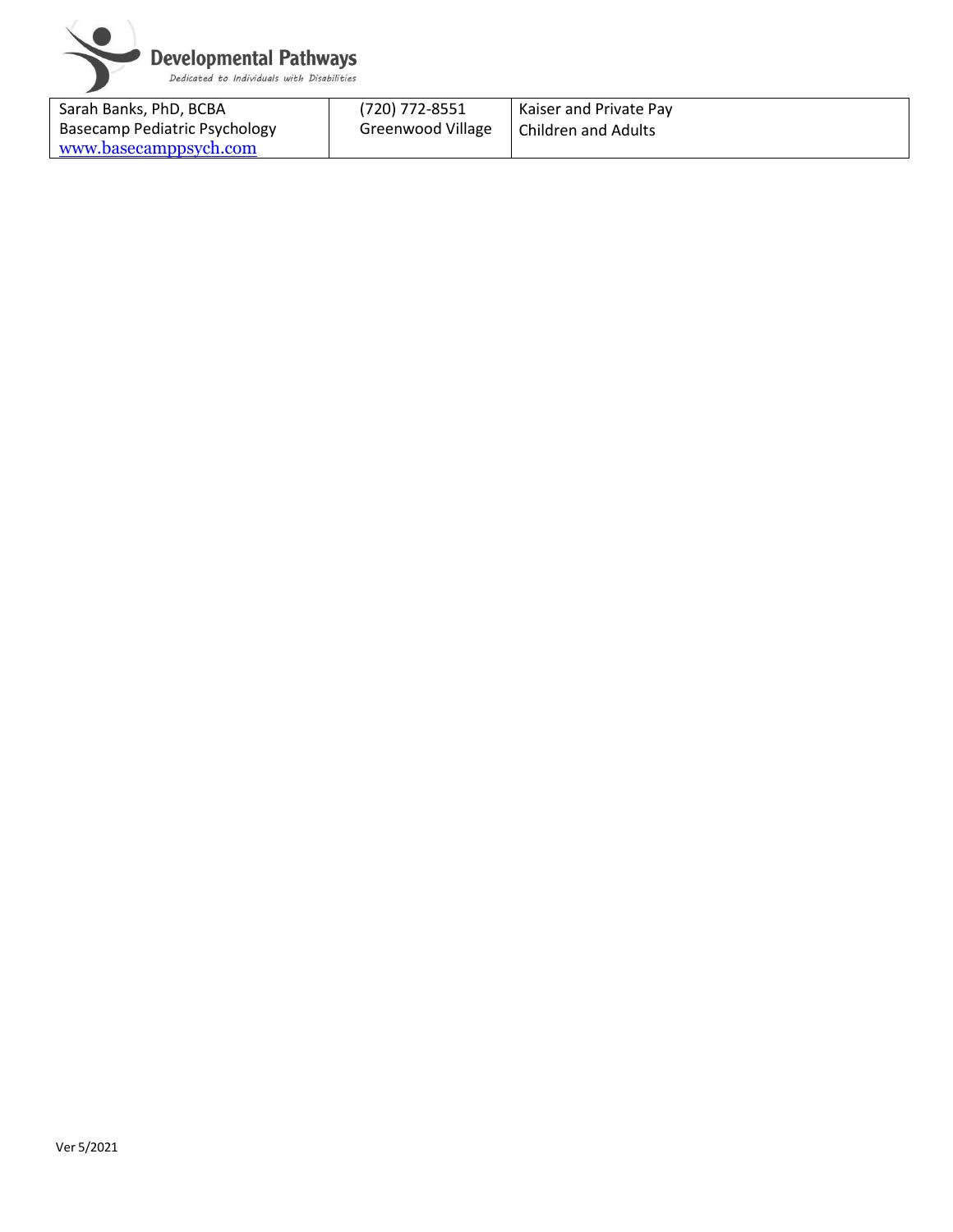

| Sarah Banks, PhD, BCBA        | (720) 772-8551    | <b>Kaiser and Private Pay</b> |
|-------------------------------|-------------------|-------------------------------|
| Basecamp Pediatric Psychology | Greenwood Village | Children and Adults           |
| www.basecamppsych.com         |                   |                               |